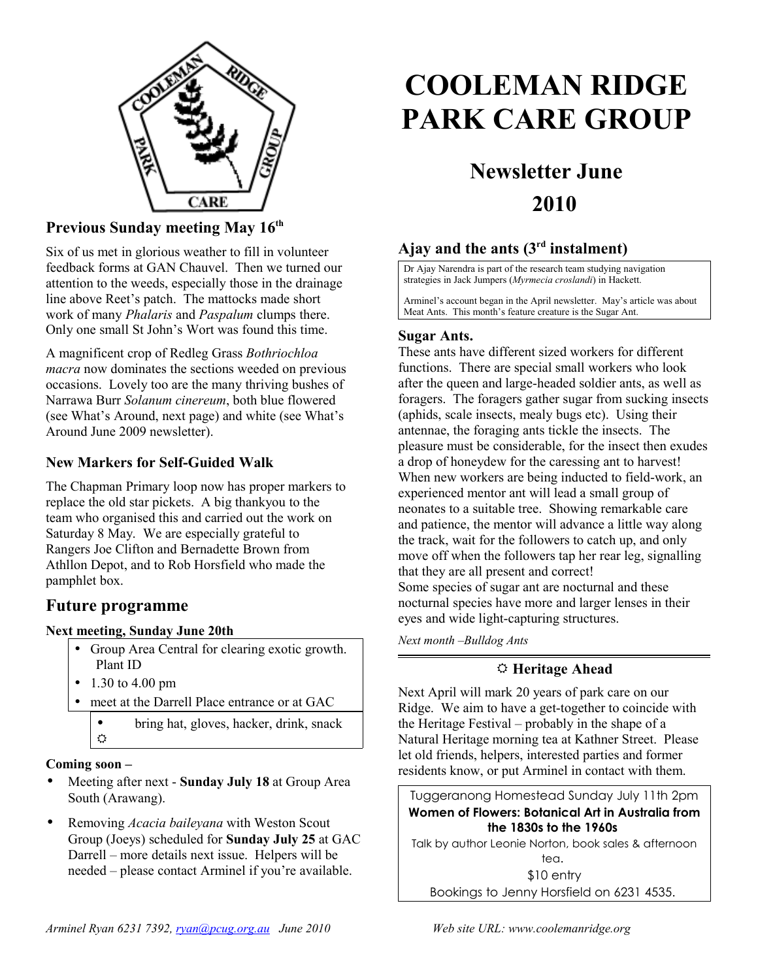

## **Previous Sunday meeting May 16th**

Six of us met in glorious weather to fill in volunteer feedback forms at GAN Chauvel. Then we turned our attention to the weeds, especially those in the drainage line above Reet's patch. The mattocks made short work of many *Phalaris* and *Paspalum* clumps there. Only one small St John's Wort was found this time.

A magnificent crop of Redleg Grass *Bothriochloa macra* now dominates the sections weeded on previous occasions. Lovely too are the many thriving bushes of Narrawa Burr *Solanum cinereum*, both blue flowered (see What's Around, next page) and white (see What's Around June 2009 newsletter).

## **New Markers for Self-Guided Walk**

The Chapman Primary loop now has proper markers to replace the old star pickets. A big thankyou to the team who organised this and carried out the work on Saturday 8 May. We are especially grateful to Rangers Joe Clifton and Bernadette Brown from Athllon Depot, and to Rob Horsfield who made the pamphlet box.

## **Future programme**

#### **Next meeting, Sunday June 20th**

- Group Area Central for clearing exotic growth. Plant ID
- 1.30 to 4.00 pm
- meet at the Darrell Place entrance or at GAC
	- bring hat, gloves, hacker, drink, snack Ö

### **Coming soon –**

- Meeting after next **Sunday July 18** at Group Area South (Arawang).
- Removing *Acacia baileyana* with Weston Scout Group (Joeys) scheduled for **Sunday July 25** at GAC Darrell – more details next issue. Helpers will be needed – please contact Arminel if you're available.

# **COOLEMAN RIDGE PARK CARE GROUP**

## **Newsletter June 2010**

## **Ajay and the ants (3rd instalment)**

Dr Ajay Narendra is part of the research team studying navigation strategies in Jack Jumpers (*Myrmecia croslandi*) in Hackett.

Arminel's account began in the April newsletter. May's article was about Meat Ants. This month's feature creature is the Sugar Ant.

### **Sugar Ants.**

These ants have different sized workers for different functions. There are special small workers who look after the queen and large-headed soldier ants, as well as foragers. The foragers gather sugar from sucking insects (aphids, scale insects, mealy bugs etc). Using their antennae, the foraging ants tickle the insects. The pleasure must be considerable, for the insect then exudes a drop of honeydew for the caressing ant to harvest! When new workers are being inducted to field-work, an experienced mentor ant will lead a small group of neonates to a suitable tree. Showing remarkable care and patience, the mentor will advance a little way along the track, wait for the followers to catch up, and only move off when the followers tap her rear leg, signalling that they are all present and correct! Some species of sugar ant are nocturnal and these nocturnal species have more and larger lenses in their eyes and wide light-capturing structures.

*Next month –Bulldog Ants*

## **Heritage Ahead**

Next April will mark 20 years of park care on our Ridge. We aim to have a get-together to coincide with the Heritage Festival – probably in the shape of a Natural Heritage morning tea at Kathner Street. Please let old friends, helpers, interested parties and former residents know, or put Arminel in contact with them.

Tuggeranong Homestead Sunday July 11th 2pm **Women of Flowers: Botanical Art in Australia from the 1830s to the 1960s** 

Talk by author Leonie Norton, book sales & afternoon tea.

\$10 entry Bookings to Jenny Horsfield on 6231 4535.